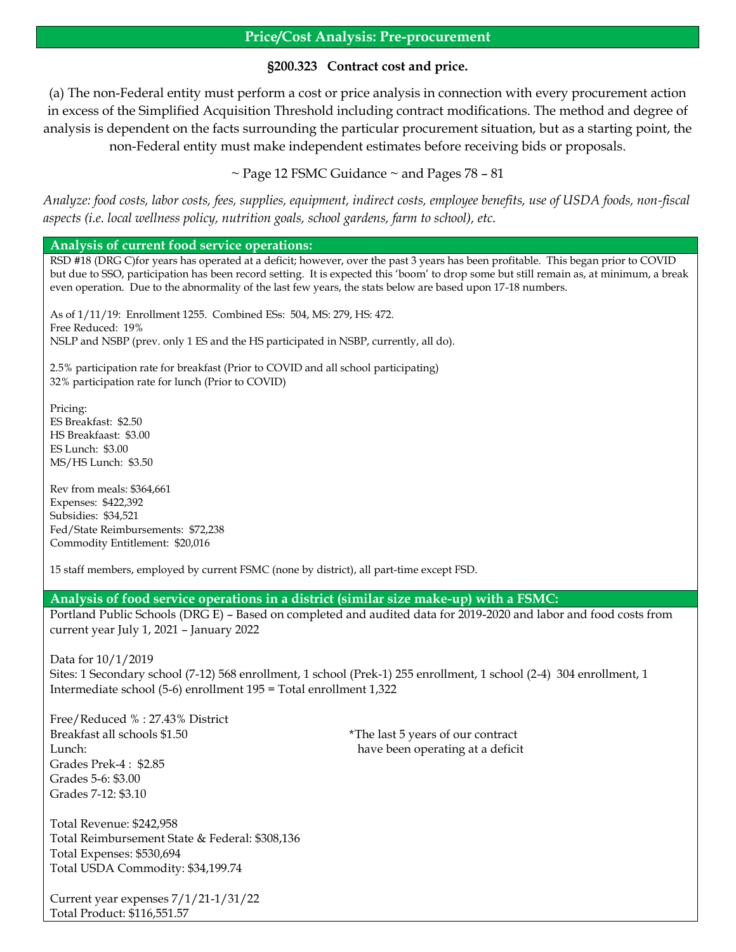# **Price/Cost Analysis: Pre-procurement**

# **§200.323 Contract cost and price.**

(a) The non-Federal entity must perform a cost or price analysis in connection with every procurement action in excess of the Simplified Acquisition Threshold including contract modifications. The method and degree of analysis is dependent on the facts surrounding the particular procurement situation, but as a starting point, the non-Federal entity must make independent estimates before receiving bids or proposals.

 $\sim$  Page 12 FSMC Guidance  $\sim$  and Pages 78 – 81

*Analyze: food costs, labor costs, fees, supplies, equipment, indirect costs, employee benefits, use of USDA foods, non-fiscal aspects (i.e. local wellness policy, nutrition goals, school gardens, farm to school), etc.*

## **Analysis of current food service operations:**

RSD #18 (DRG C)for years has operated at a deficit; however, over the past 3 years has been profitable. This began prior to COVID but due to SSO, participation has been record setting. It is expected this 'boom' to drop some but still remain as, at minimum, a break even operation. Due to the abnormality of the last few years, the stats below are based upon 17-18 numbers.

As of 1/11/19: Enrollment 1255. Combined ESs: 504, MS: 279, HS: 472. Free Reduced: 19% NSLP and NSBP (prev. only 1 ES and the HS participated in NSBP, currently, all do).

2.5% participation rate for breakfast (Prior to COVID and all school participating) 32% participation rate for lunch (Prior to COVID)

Pricing: ES Breakfast: \$2.50 HS Breakfaast: \$3.00 ES Lunch: \$3.00 MS/HS Lunch: \$3.50

Rev from meals: \$364,661 Expenses: \$422,392 Subsidies: \$34,521 Fed/State Reimbursements: \$72,238 Commodity Entitlement: \$20,016

15 staff members, employed by current FSMC (none by district), all part-time except FSD.

## **Analysis of food service operations in a district (similar size make-up) with a FSMC:**

Portland Public Schools (DRG E) – Based on completed and audited data for 2019-2020 and labor and food costs from current year July 1, 2021 – January 2022

Data for 10/1/2019 Sites: 1 Secondary school (7-12) 568 enrollment, 1 school (Prek-1) 255 enrollment, 1 school (2-4) 304 enrollment, 1 Intermediate school (5-6) enrollment 195 = Total enrollment 1,322

Free/Reduced % : 27.43% District Breakfast all schools \$1.50 \*The last 5 years of our contract Lunch: have been operating at a deficit Grades Prek-4 : \$2.85 Grades 5-6: \$3.00 Grades 7-12: \$3.10

Total Revenue: \$242,958 Total Reimbursement State & Federal: \$308,136 Total Expenses: \$530,694 Total USDA Commodity: \$34,199.74

Current year expenses 7/1/21-1/31/22 Total Product: \$116,551.57